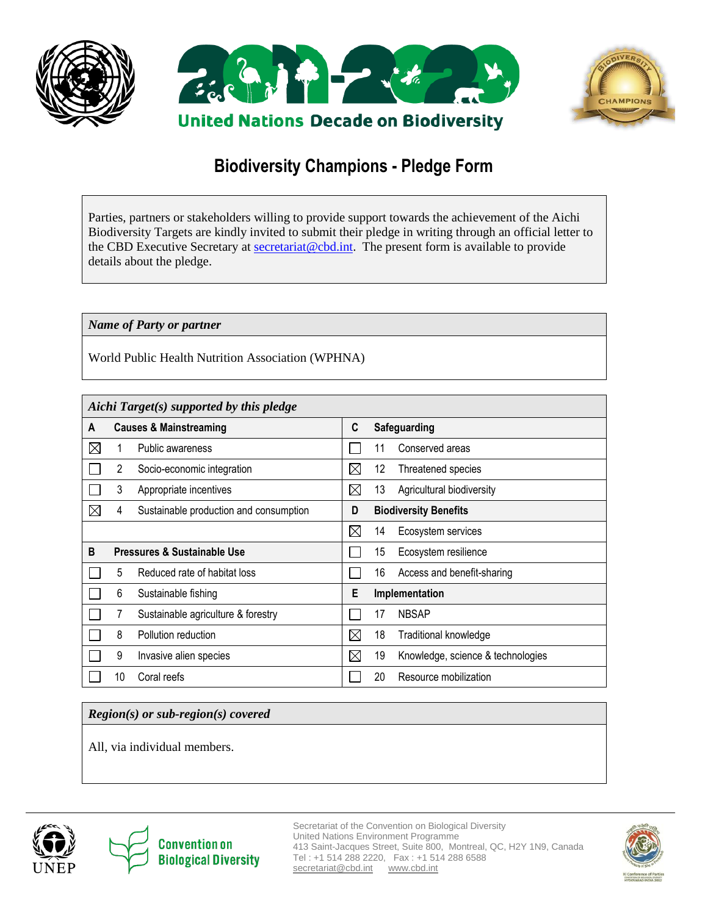





# **Biodiversity Champions - Pledge Form**

Parties, partners or stakeholders willing to provide support towards the achievement of the Aichi Biodiversity Targets are kindly invited to submit their pledge in writing through an official letter to the CBD Executive Secretary at **secretariat@cbd.int**. The present form is available to provide details about the pledge.

### *Name of Party or partner*

World Public Health Nutrition Association (WPHNA)

| Aichi Target(s) supported by this pledge |                                   |                                        |   |    |                                   |  |  |  |  |
|------------------------------------------|-----------------------------------|----------------------------------------|---|----|-----------------------------------|--|--|--|--|
| A                                        | <b>Causes &amp; Mainstreaming</b> |                                        |   |    | Safeguarding                      |  |  |  |  |
| $\boxtimes$                              |                                   | Public awareness                       |   | 11 | Conserved areas                   |  |  |  |  |
|                                          | 2                                 | Socio-economic integration             | ⊠ | 12 | Threatened species                |  |  |  |  |
|                                          | 3                                 | Appropriate incentives                 | ⊠ | 13 | Agricultural biodiversity         |  |  |  |  |
| ⊠                                        | 4                                 | Sustainable production and consumption | D |    | <b>Biodiversity Benefits</b>      |  |  |  |  |
|                                          |                                   |                                        | ⊠ | 14 | Ecosystem services                |  |  |  |  |
| B                                        | Pressures & Sustainable Use       |                                        |   | 15 | Ecosystem resilience              |  |  |  |  |
|                                          | 5                                 | Reduced rate of habitat loss           |   | 16 | Access and benefit-sharing        |  |  |  |  |
|                                          | 6                                 | Sustainable fishing                    | E |    | Implementation                    |  |  |  |  |
|                                          | 7                                 | Sustainable agriculture & forestry     |   | 17 | <b>NBSAP</b>                      |  |  |  |  |
|                                          | 8                                 | Pollution reduction                    | ⊠ | 18 | Traditional knowledge             |  |  |  |  |
|                                          | 9                                 | Invasive alien species                 | ⊠ | 19 | Knowledge, science & technologies |  |  |  |  |
|                                          | 10                                | Coral reefs                            |   | 20 | Resource mobilization             |  |  |  |  |

## *Region(s) or sub-region(s) covered*

All, via individual members.





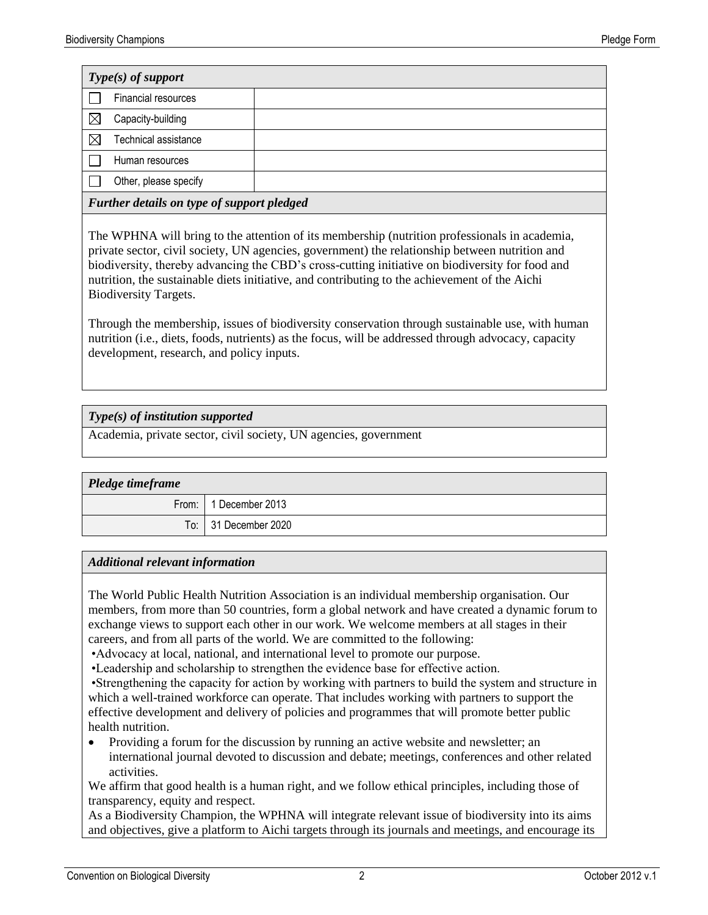| $Type(s)$ of support                       |                       |  |  |  |  |
|--------------------------------------------|-----------------------|--|--|--|--|
|                                            | Financial resources   |  |  |  |  |
|                                            | Capacity-building     |  |  |  |  |
|                                            | Technical assistance  |  |  |  |  |
|                                            | Human resources       |  |  |  |  |
|                                            | Other, please specify |  |  |  |  |
| Further details on type of support pledged |                       |  |  |  |  |

The WPHNA will bring to the attention of its membership (nutrition professionals in academia, private sector, civil society, UN agencies, government) the relationship between nutrition and biodiversity, thereby advancing the CBD's cross-cutting initiative on biodiversity for food and nutrition, the sustainable diets initiative, and contributing to the achievement of the Aichi Biodiversity Targets.

Through the membership, issues of biodiversity conservation through sustainable use, with human nutrition (i.e., diets, foods, nutrients) as the focus, will be addressed through advocacy, capacity development, research, and policy inputs.

## *Type(s) of institution supported*

Academia, private sector, civil society, UN agencies, government

| Pledge timeframe |                         |  |  |  |  |
|------------------|-------------------------|--|--|--|--|
|                  | From:   1 December 2013 |  |  |  |  |
|                  | To: 31 December 2020    |  |  |  |  |

### *Additional relevant information*

The World Public Health Nutrition Association is an individual membership organisation. Our members, from more than 50 countries, form a global network and have created a dynamic forum to exchange views to support each other in our work. We welcome members at all stages in their careers, and from all parts of the world. We are committed to the following:

•Advocacy at local, national, and international level to promote our purpose.

•Leadership and scholarship to strengthen the evidence base for effective action.

•Strengthening the capacity for action by working with partners to build the system and structure in which a well-trained workforce can operate. That includes working with partners to support the effective development and delivery of policies and programmes that will promote better public health nutrition.

 Providing a forum for the discussion by running an active website and newsletter; an international journal devoted to discussion and debate; meetings, conferences and other related activities.

We affirm that good health is a human right, and we follow ethical principles, including those of transparency, equity and respect.

As a Biodiversity Champion, the WPHNA will integrate relevant issue of biodiversity into its aims and objectives, give a platform to Aichi targets through its journals and meetings, and encourage its